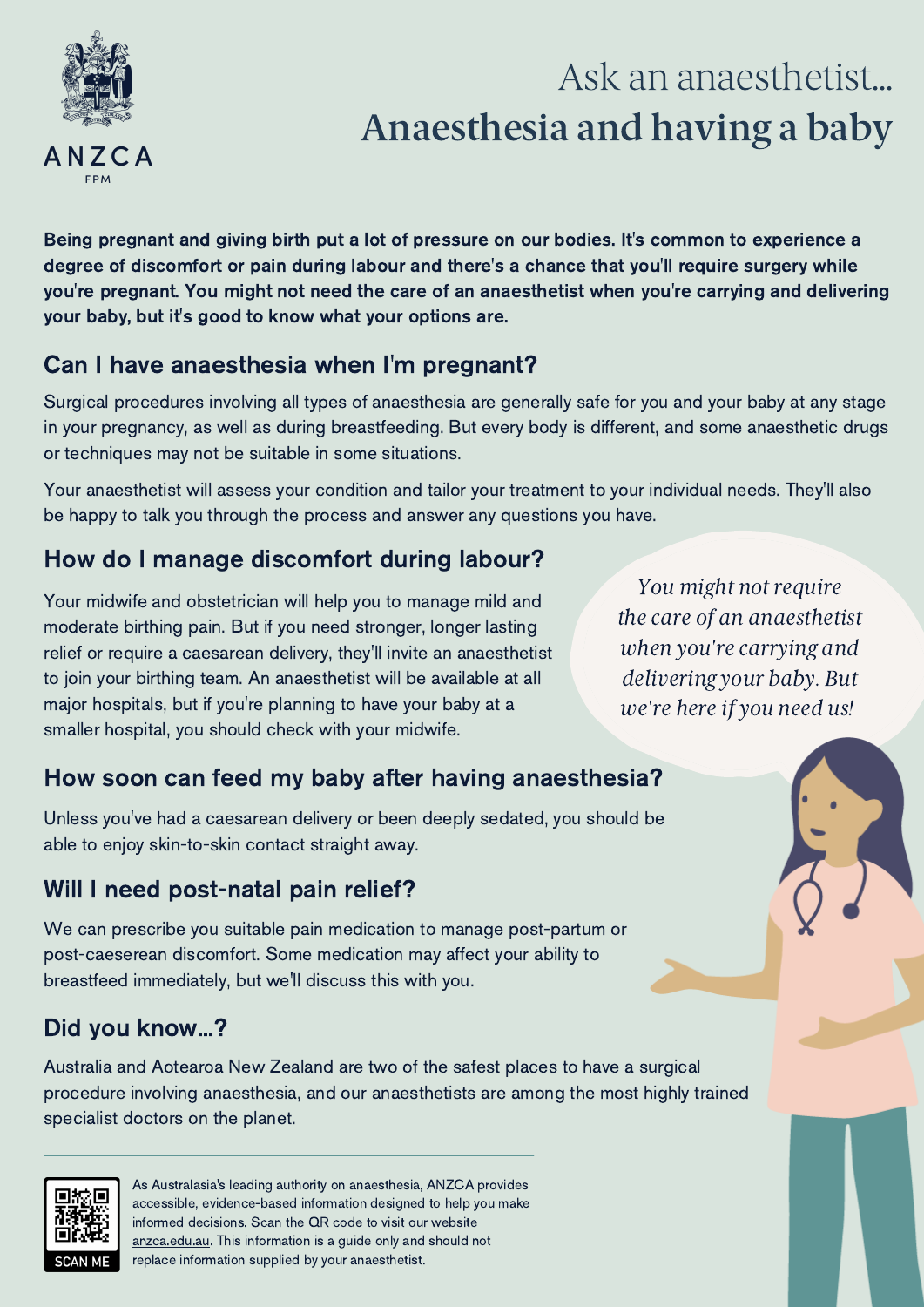

# Ask an anaesthetist... Anaesthesia and having a baby

Being pregnant and giving birth put a lot of pressure on our bodies. It's common to experience a degree of discomfort or pain during labour and there's a chance that you'll require surgery while you're pregnant. You might not need the care of an anaesthetist when you're carrying and delivering your baby, but it's good to know what your options are.

#### Can I have anaesthesia when I'm pregnant?

Surgical procedures involving all types of anaesthesia are generally safe for you and your baby at any stage in your pregnancy, as well as during breastfeeding. But every body is different, and some anaesthetic drugs or techniques may not be suitable in some situations.

Your anaesthetist will assess your condition and tailor your treatment to your individual needs. They'll also be happy to talk you through the process and answer any questions you have.

## How do I manage discomfort during labour?

Your midwife and obstetrician will help you to manage mild and moderate birthing pain. But if you need stronger, longer lasting relief or require a caesarean delivery, they'll invite an anaesthetist to join your birthing team. An anaesthetist will be available at all major hospitals, but if you're planning to have your baby at a smaller hospital, you should check with your midwife.

You might not require the care of an anaesthetist when you're carrying and delivering your baby. But we're here if you need us!

# How soon can feed my baby after having anaesthesia?

Unless you've had a caesarean delivery or been deeply sedated, you should be able to enjoy skin-to-skin contact straight away.

### Will I need post-natal pain relief?

We can prescribe you suitable pain medication to manage post-partum or post-caeserean discomfort. Some medication may affect your ability to breastfeed immediately, but we'll discuss this with you.

### Did you know...?

Australia and Aotearoa New Zealand are two of the safest places to have a surgical procedure involving anaesthesia, and our anaesthetists are among the most highly trained specialist doctors on the planet.



As Australasia's leading authority on anaesthesia, ANZCA provides accessible, evidence-based information designed to help you make informed decisions. Scan the QR code to visit our website [anzca.edu.au.](http://www.anzca.edu.au/) This information is a guide only and should not replace information supplied by your anaesthetist.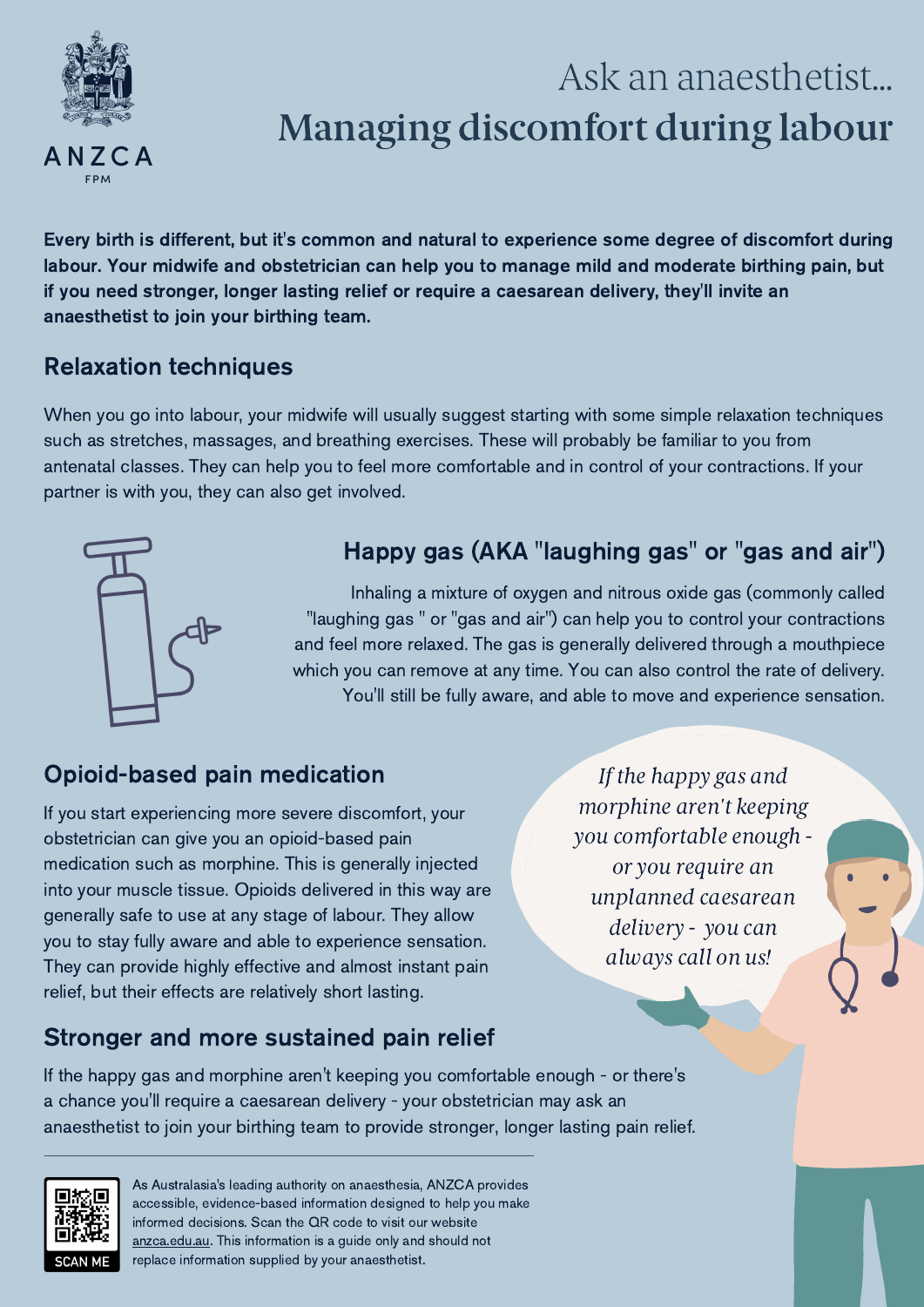

# Ask an anaesthetist... Managing discomfort during labour

Every birth is different, but it's common and natural to experience some degree of discomfort during labour. Your midwife and obstetrician can help you to manage mild and moderate birthing pain, but if you need stronger, longer lasting relief or require a caesarean delivery, they'll invite an anaesthetist to join your birthing team.

#### Relaxation techniques

When you go into labour, your midwife will usually suggest starting with some simple relaxation techniques such as stretches, massages, and breathing exercises. These will probably be familiar to you from antenatal classes. They can help you to feel more comfortable and in control of your contractions. If your partner is with you, they can also get involved.



## Happy gas (AKA "laughing gas" or "gas and air")

Inhaling a mixture of oxygen and nitrous oxide gas (commonly called "laughing gas " or "gas and air") can help you to control your contractions and feel more relaxed. The gas is generally delivered through a mouthpiece which you can remove at any time. You can also control the rate of delivery. You'll still be fully aware, and able to move and experience sensation.

### Opioid-based pain medication

If you start experiencing more severe discomfort, your obstetrician can give you an opioid-based pain medication such as morphine. This is generally injected into your muscle tissue. Opioids delivered in this way are generally safe to use at any stage of labour. They allow you to stay fully aware and able to experience sensation. They can provide highly effective and almost instant pain relief, but their effects are relatively short lasting.

#### Stronger and more sustained pain relief

If the happy gas and morphine aren't keeping you comfortable enough or you require an unplanned caesarean delivery - you can always call on us!

If the happy gas and morphine aren't keeping you comfortable enough - or there's a chance you'll require a caesarean delivery - your obstetrician may ask an anaesthetist to join your birthing team to provide stronger, longer lasting pain relief.



As Australasia's leading authority on anaesthesia, ANZCA provides accessible, evidence-based information designed to help you make informed decisions. Scan the QR code to visit our website [anzca.edu.au.](http://www.anzca.edu.au/) This information is a guide only and should not replace information supplied by your anaesthetist.